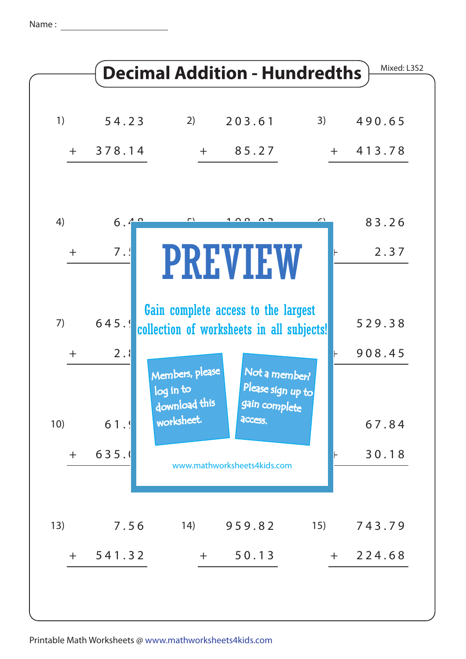Name : <u>\_\_\_\_</u>